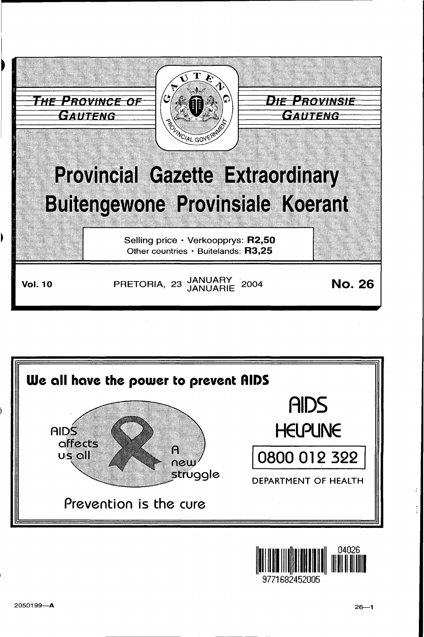



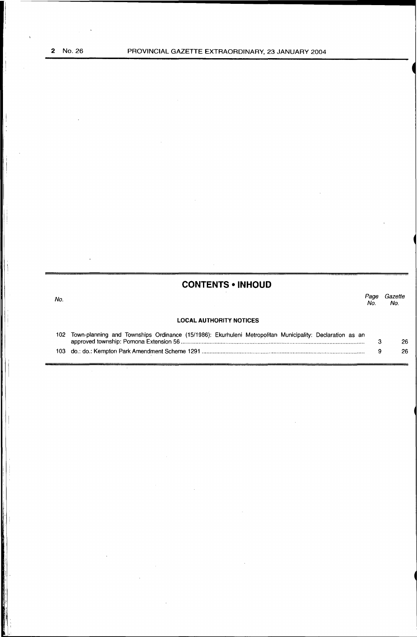No.

il ., ~I

I  $\vert \cdot \vert$ 

# **CONTENTS • INHOUD**

*Page Gazette*  No. No.

# **LOCAL AUTHORITY NOTICES**

| 102 Town-planning and Townships Ordinance (15/1986): Ekurhuleni Metropolitan Municipality: Declaration as an |    |
|--------------------------------------------------------------------------------------------------------------|----|
|                                                                                                              | 26 |
|                                                                                                              | 26 |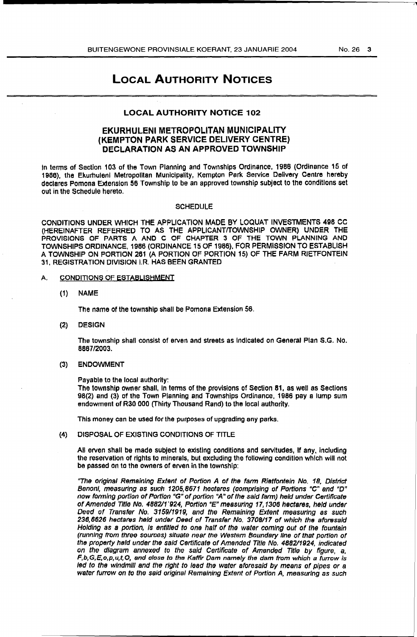# LOCAL AUTHORITY NOTICES

## LOCAL AUTHORITY NOTICE 102

# EKURHULENI METROPOLITAN MUNICIPALITY (KEMPTON PARK SERVICE DELIVERY CENTRE) DECLARATION AS AN APPROVED TOWNSHIP

In terms of Section 103 of the Town Planning and Townships Ordinance, 1986 (Ordinance 15 of 1986), the Ekurhuleni Metropolitan Municipality, Kempton Park Service Delivery Centre hereby declares Pomona Extension 56 Township to be an approved township subject to the conditions set out in the Schedule hereto.

#### SCHEDULE

CONDITIONS UNDER WHICH THE APPLICATION MADE BY LOQUAT INVESTMENTS 496 CC (HEREINAFTER REFERRED TO AS THE APPLICANT/TOWNSHIP OWNER) UNDER THE PROVISIONS OF PARTS A AND C OF CHAPTER 3 OF THE TOWN PLANNING AND TOWNSHIPS ORDINANCE, 1986 (ORDINANCE 15 OF 1986), FOR PERMISSION TO ESTABLISH A TOWNSHIP ON PORTION 261 (A PORTION OF PORTION 15) OF THE FARM RIETFONTEIN 31, REGISTRATION DIVISION I.R. HAS BEEN GRANTED

#### A. CONDITIONS OF ESTABLISHMENT

(1) NAME

The name of the township shall be Pomona Extension 56.

(2) DESIGN

The township shall consist of erven and streets as Indicated on General Plan S.G. No. 8667/2003.

### (3} ENDOWMENT

Payable to the local authority:

The township owner shall, in terms of the provisions of Section 81, as well as Sections 98(2) and (3) of the Town Planning and Townships Ordinance, 1986 pay a lump sum endowment of R30 000 (Thirty Thousand Rand) to the local authority.

This money can be used for the purposes of upgrading any parks.

(4) DISPOSAL OF EXISTING CONDITIONS OF TITLE

All erven shall be made subject to existing conditions and servitudes, if any, including the reservation of rights to minerals, but excluding the following condition which will not be passed on to the owners of erven in the township:

"The original Remaining Extent of Portion A of the farm Rietfontein No\_ 18, District Benoni, measuring as such 1205,8671 hectares (comprising of Portions "C" and *"D"*  now forming portion of Portion "G" of portion "A" of the said farm) held under Certificate of Amended Title No. 488211'924, Portion *uE"* measuring 17,1306 hectares, held under Deed of Transfer No. 3159/1919, and the Remaining Extent measuring as such 236,6626 hectares held under Deed of Transfer No. 3708/17 of which the aforesaid Holding as a portion, is entitled to one half of the water coming out or the fountain (running trom three sources) situate near the We stem Boundary line or tnat portion or the property held under the said Certificate of Amended Title No. 488211924, indicated on the diagram annexed to the said Certificate of Amended Title by figure, a,  $F, b, G, E, o, p, u, t, O$ , and close to the Kaffir Dam namely the dam from which a furrow is led to the windmill and the right to lead the water aforesaid by means of pipes or a water furrow on to the said original Remaining Extent of Portion A, measuring as such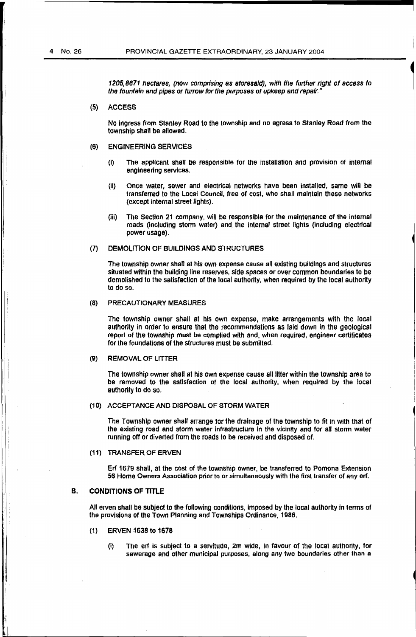1205,8671 hectares, (now comprising as aforesaid), with the further right of access to the fountain and pipes or furrow for the purposes of upkeep and repair."

(5) ACCESS

No Ingress from Stanley Road to the township and no egress to Stanley Road from the township shall be allowed.

- (6) ENGINEERING SERVICES
	- (i) The applicant shall be responsible for the installation and provision of internal engineering services.
	- (il) Once water, sewer and electrical networks nave been installed, same will be transferred to the Local Council, free of cost, who shall maintain these networks (except internal street lights).
	- (iii) The Section 21 company, will be responsible for the maintenance of the internal roads (including storm water) and. the internal street lights (including electrical power usage).

#### (7) DEMOLITION OF BUILDINGS AND STRUCTURES

The township owner shall at his own expense cause all existing buildings and structures situated within the building line reserves, side spaces or over common boundaries to be demolished to the satisfaction of the local authority, when required by the local authority to do so.

#### (8) PRECAUTIONARY MEASURES

The township owner shall at his own expense, make arrangements with the local authority in order to ensure that the recommendations as laid down in the geological report of the township must be complied with and, when required, engineer certificates for the foundations of the structures must be submitted.

#### (9) REMOVAL OF LITTER

The township owner shall at his own expense cause all litter within the township area to be removed to the satisfaction of the local authority, when required by the local authority to do so.

#### (1 0) ACCEPTANCE AND DISPOSAL OF STORM WATER

The Township owner shall arrange for the drainage of the township to fit in with that of the existing road and storm water infrastructure In the vicinity and for all storm water running off or diverted from the roads to be received and disposed of.

(11) TRANSFER OF ERVEN

Erf 1679 shall, at the cost of the township owner, be transferred to Pomona Extension 56 Home Owners Association prior to or simultaneously with the first transfer of any erf.

#### B. CONDITIONS OF TITLE

All erven shall be subject to the following conditions. imposed by the local authority in terms of the provisions of the Town Planning and Townships Ordinance, 1986.

- (1) ERVEN 1638 to 1678
	- (i) The erf Is subject to a servitude, 2m wide, In favour of the local authority, for sewerage and other municipal purposes. along any two boundaries other than a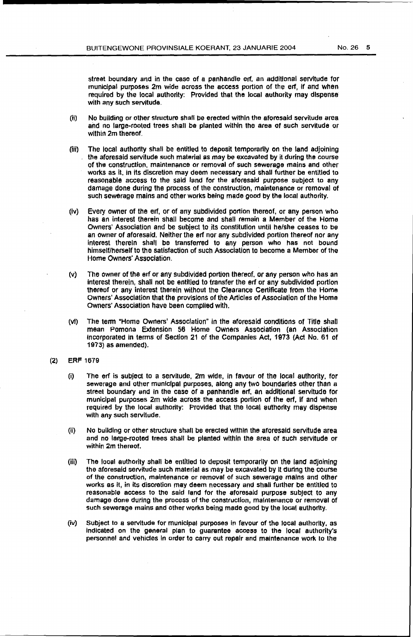street boundary and in the case of a panhandle ert, an additional servitude for municipal purposes 2m wide across the access portion of the erf, if and when required by the local authority: Provided that the local authority may dispense with any such servitude.

- (ii) No building or other structure shall be erected within the aforesaid servitude area and no large-rooted trees shall be planted within the area of such servitude or within 2m thereof.
- (iii) The local authonty shall be entitled to deposit temporarily on the land adjoining the aforesaid servitude such material as may be excavated by it during the course of the construction. maintenance or removal of such sewerage mains and other works as it. in its discretion may deem necessary and shall further be entitled to reasonable access to the said land for the aforesaid purpose subject to any damage done during the process of the construction, maintenance or removal of such sewerage mains and other works being made good by the local authority.
- (iv) Every owner of the erf, or of any subdivided portion thereof, or any person who has an interest therein shall become and shall remain a Member of the Home Owners' Association and be subject to its constitution until he/she ceases to be an owner of aforesaid. Neither the erf nor any subdivided portion thereof nor any interest therein shall be transferred to any person who has not bound himself/herself to the satisfaction of such Association to become a Member of the Home Owners' Association.
- (v) The owner of the erf or any subdivided portion thereof. or any person who has an interest therein, shall not be entitled to transfer the erf or any subdivided portion thereof or any interest therein without the Clearance Certificate from the Home owners' Association that the provisions of the Articles of Association or the Home Owners· Association have been complied with.
- (vi) The tenn "Home Owners' Association" in the aforesaid conditions of Title shall mean Pomona Extension 56 Home Owners Association (an Association Incorporated in terms or Section 21 of the Companies Act, 1973 (Act No. 61 of 1973) as amended).
- (2) ERF 1679
	- (i) The erf is subject to a servitude, 2m wide, in favour of the local authority, for sewerage and other municipal purposes, along any two boundaries other than a street boundary and in the case of a panhandle erf, an additional servitude for municipal purposes  $2m$  wide across the access portion of the erf, if and when required by the local authority: Provided that tne local authority may dispense with any such servitude.
	- (ii) No building or other structure shall be erected within the aforesaid servitude area and no large-rooted trees shall be planted within the area of such servitude or within 2m thereof.
	- (iii) The local authority shall be entitled to deposit temporarily on the land adjoining the aforesaid servitude such material as may be excavated by It during the course of the construction, maintenance or removal of such sewerage mains and other works as It, in its discretion may deem necessary and shall further be entitled to reasonable access to the said land for the aforesaid purpose subject to any damage done during the process of the construction, maintenance or removal of such sewerage mains and other works being made good by the local authority.
	- (iv) Subject to a servitude for municipal purposes in favour of the local authority, as indicated on the general plan to guarantee access to the local authority's personnel and vehicles in order to carry out repair and maintenance work to the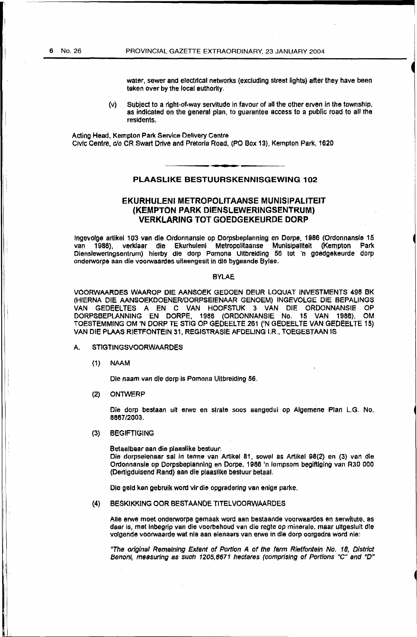water, sewer and electrical networks (excluding street lights) after they have been taken over by the local authority.

(v) Subject to a right-of-way servitude In favour of all the other erven in the township, as indicated on the general plan, to guarantee access to a public road to all the residents,

Acting Head. Kempton Park Service Delivery Centre Civic Centre, c/o CR Swart Drive and Pretoria Road, (PO Box 13), Kempton Park, 1620

# PLAASLIKE BESTUURSKENNISGEWING 102

# EKURHULENI METROPOLITAANSE MUNISIPALITEIT (KEMPTON PARK DIENSLEWERINGSENTRUM) VERKLARING TOT GOEDGEKEURDE OORP

lngevolge artikel 103 van die Ordonnansie op Oorpsbeplanning en Dorpe, 1986 (Ordonnansle 15 van 1986), verklaar die Ekurhuleni Metropolitaanse Munisipallteit (Kempton Park Diensleweringsentrum) hierby die dorp Pomona Ultbreiding 56 tot 'n goedgekeurde dorp onderworpa aan die voorwaardes uiteengesit in die bygaande Bylae.

#### BYLAE

VOORWAARDES WAAROP DIE AANSOEK GEDOEN DEUR LOQUAT INVESTMENTS 498 BK (HIERNA OlE AANSOEKDOENERIDORPSEIENAAR GENOEM) INGEVOLGE DIE BEPALINGS VAN GEDEELTES A EN C VAN HOOFSTUK 3 VAN DIE ORDONNANSIE OP DORPSBEPLANNING EN DORPE, 1966 (ORDONNANSIE No. 15 VAN 1986); OM TOESTEMMING OM 'N DORP TE STIG OP GEDEELTE 261 ('N GEDEELTE VAN GEDEELTE 15) VAN DIE PLAAS RIETFONTEIN 31, REGISTRASIE AFDELING I.R., TOEGESTAAN IS

#### A. STIGTINGSVOORWAARDES

{1) NAAM

Die naam van die dorp is Pomona Uitbreiding 56.

(2) ONTWERP

Die dorp bestaan uit erwe en strate soos aangedui op Algemene Plan L.G. No. 8867/2003.

#### (3) BEGIFTIGING

Betaalbaar aan die plaaslike bestuur:

Die dorpseienaar sal in terme van Artikel 81, sowel as Artikel 98(2) en (3) van die Ordonnansie op Dorpsbeptannlng en Dorpe, 1986 'n lompsom begiftlging van R30 000 (Dertigduisend Rand) aan die plaaslike bestuur betaal.

Die geld kan gebruik word vlrdie opgradering van enige parke.

(4) BESKJKKING OOR BEST AANOE TITELVOORWAARDES

Aile erwe moet onderworpe gemaak word aan bestaande voorwaardes en serwitute. as daar is, met lnbegrip van die voorbehoud van die regte op minerale, maar ultgeslult die volgende voorwaarde wat nie aan eienaars van erwe in die dorp oorgedra word nie:

"The original Remaining Extent of Portion A or the farm Rietfontein No. 18, District Benoni, measuring as such 1205,8871 hectares (comprising of Portions "C" and "D"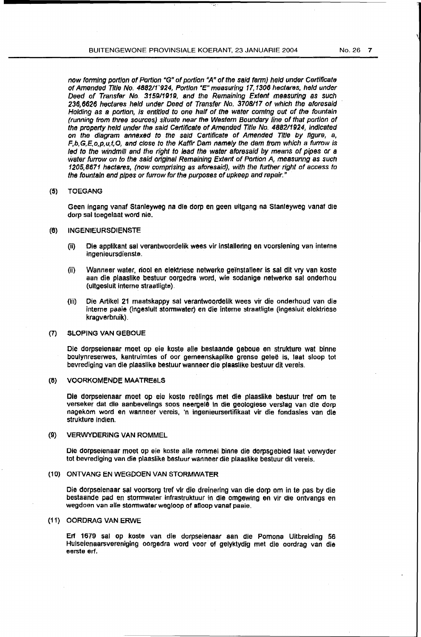now forming portion of Portion "G" of portion "A" of the said farm) held under Certificate of Amended Title No. 4882/11924, Portion "E" measuring 17,1306 hectares, held under Deed of Transfer No. 3159/1919, and the Remaining Extent measuring as such 236,6626 hectares held under Deed of Transfer No. 3708117 or which the aforesaid Holding as a portion, is entitled to one half of the water coming out of the fountain (running from three sources) situate near the Western Boundary line of that portion of the property held under the said Certificate of Amended Title No. 488211924, Indicated on the diagram annexed to the said Certificate of Amended Title oy ngure, a, F,b,G,E,o,p,u,t,O, and close to the Kaffir Dam namely the dam from which a furrow is led to the windmill and the right to lead the water aforesaid *by* means of pipes or a water furrow an to the said original Remaining Extent of Portion A, measuring as such 1205,8671 hectares, (now comprising as aforesaid), with the further right of access to the fountain and pipes or furrow for the purposes of upkeep and repair."

#### {5) TOEGANG

Geen ingang vanaf Stanleyweg na die dorp en geen uitgang na Stanleyweg vanaf cue dorp sal toegelaat word nie.

#### (6) INGENIEURSOIENSTE

- (ii) Die appllkant sal verantwoordelik wees vir lnstallerlng en voorsiening van interne ingenieursdienste.
- (ii) Wanneer water, riool en elektriese netwerke ge"installeer is sal dlt vry van koste aan die plaasllke bestuur oorgedra word, wie sodanige netwerke sal onderhou (ultgesluit interne straatligte).
- (Iii) Die Artikel 21 maatskappy sal verantwoordelik wees vir die onderhoud van die interne paaie (ingeslult stonnwater) en die interne straatligte (ingesluit elektriese kragverbruik).

#### (7) SLOPING VAN GEBOUE

Die dorpseienaar moet op eie koste aile bestaande geboue en strukture wat binne boulynreserwes, kantruimtes of oar gemeenskapllke Qrense gelee is, laat sloop tot bevrediging van die plaasllke bestuur wanneer die plaaslike bestuur dit vereis.

#### (8) VOORKOMENDE MAATRE&LS

Ole dorpseienaar moet op eie koste reelings met die plaaslike bestuur tref om te verseker dat die aanbevelings soos neergelê in die geologiese verslag van die dorp nagekom word en wanneer vereis, 'n ingenieursertifikaat vir die fondasies van die strukture indien.

#### (9) VERWYDERING VAN ROMMEL

Die Clorpseienaar moet op eie koste aile rommel binne die dorpsgebled laat verwyder tot bevrediging van die plaaslike bestuur wanneer die plaaslike bestuur dit vereis.

#### {10) ONTVANG EN WEGDOEN VAN STORMWATER

Die dorpselenaar sal voorsorg tref vir die dreinering van die dorp om in te pas by die bestaande pad en stormwater infrastruktuur in die omgewtng en vir die ontvangs en wegdoen van aile stormwater wegloop of afloop vanaf paaie.

#### {11) OORDRAG VAN ERWE

Erf 1679 sal op koste van die dorpseienaar aan die Pomona Uitbreiding 56 Huiseienaarsvereniging oorgedra word voor of gelyktydig met die oordrag van die eerste erf.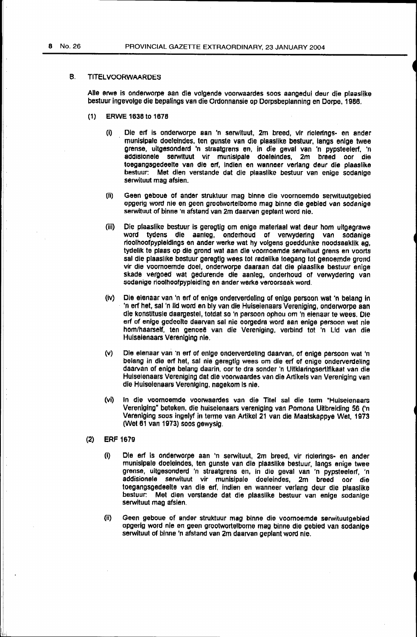#### B. TITELVOORWAARDES

Aile erwe is onderworpe aan die volgende voorwaardes soos aangedui deur die plaaslike bestuur ingevolge die bepalings van die Ordonnansie op Dorpsbeplanning en Dorpe. 1986.

- (1} ERWE 1638 to 1676
	- (i) Die erf is onderworpe aan 'n serwituut, 2m breed, vir riolerings- en ander munisipale doeleindes, ten gunste van die plaaslike bestuur, langs enlge twee grense, uitgesonderd 'n straatgrens en, in die geval van 'n pypsteelerf. 'n addisionele serwltuut vir munislpale doelelndes, 2m breed oor die toegangsgedeelte van die erf, lndien en wanneer verlang deur die piaaslike bestuur: Met dien verstande dat die plaaslike bestuur van enige sodanige serwituut mag afsien.
	- (ii) Geen geboue of ander struktuur mag binne die voornoemde serwituutgebied opgerig word nie en geen grootworteibome mag binne die gebied van sodanige serwituut of binne 'n afstand van 2m daarvan geplant word nie.
	- {iii) Die plaaslike bestuur is geregtig om enige materiaal wat deur hom ultgegrawe word tydens die aanleg, onderhoud of verwydering van sodanige rioolhoofpypleldlngs en ander werke wat hy volgens goeddunke noodsaaklik ag, tydelik te plaas op die grond wat aan die voornoemde serwituut grens en voorts sal die plaaslike bestuur geregtlg wees tot redellke toegang tot genoemde grond vir die voomoemde doel, onderworpe daaraan dat die plaasllke bestuur enige skade vergoed wat gedurende die aanleg, onderhoud of verwydering van sodanige rioolhoofpypieiding en ander werke veroorsaak word.
	- (iv) Die elenaar van 'n erf of enige onderverdaling of enige persoon wat ·n belang In 'n erf het, sal'n lid word en bly van die Huiseienaars Vareniging, onderworpe aan ale konstltusle daargestel, totdat so •n persoon ophou om 'n eienaar te wees. Die erf of enige gedeelte daarvan sal nie oorgedra word aan enige persoon wat nie hom/haarself. ten genoee van die Vereniging, verbind tot 'n Lid van die Hulselenaars Vereniging nie.
	- (v) Die elenaar van 'n erf of enige onderverdeling daarvan, of enige persoon wat 'n belang in die erf het, sal nie geregtig wees om die erf of enige onderverdeling daarvan of enige belang daarin. oor te dra sander 'n Ultklaringsertlflkaat van die Hulseienaars Vareniging dat die voorwaardes van die Artikels van Vereniging van die Huisaienaars Veraniging, nagekom Is nie.
	- (vi) In die voomoemde voorwaardes van die Titel sal die term "Huiseienaars Vereniging" beteken, die huiselenaars vereniging van Pomona Uitbreiding 56 ('n Vereniging soos ingelyf in terma van Artikel 21 van die Maatskappye Wet, 1973 (Wet 61 van 1973) soos gewysig.
- (2) ERF 1679
	- (I) Ole erf is onderworpe aan 'n serwituut, 2m breed, vir riolerings- en ander munisipale doeleindes, ten gunste van die plaasllke bestuur, langs enige twee grense, uitgesonderd 'n straatgrens en, in die geval van 'n pypsteelerf, 'n addisionele serwituut vir munisipale doeleindes, 2m breed oor die toegangsgedeelte van die erf. indien en wannear verlang deur die pJaaslike bestuur: Met dian verstande dat die plaasllke bestuur van enige sodanige serwituut mag afsien.
	- (ii} Geen geboue of ander struktuur mag binne die voarnoemde serwituutgebied opgerig word nie en geen grootwortelbome mag binna die gebied van sodanlge serwituut of binne 'n afstand van 2m daarvan geplant woro nie.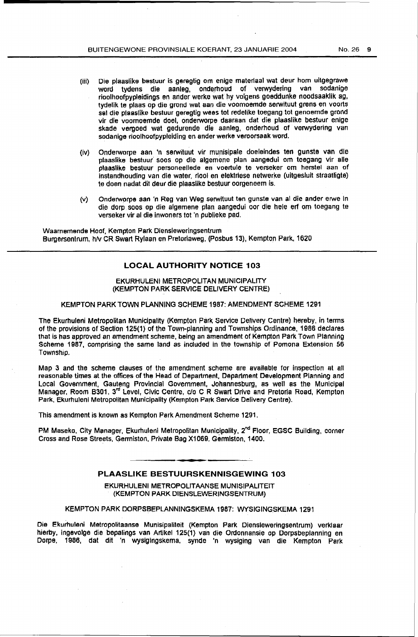- (iii) Die plaaslike bestuur is geregtig om enige materiaal wat deur hom uitgegrawe word tydens die aanleg, onderhoud of verwydering van rioolhoofpypleidings en ander werke wat hy volgens goeddunke noodsaaklik ag, tydelik te plaas op die grond wat aan die voomoemde serwituut grens en voorts sal die plaaslike bestuur geregtig wees tot redelike toegang tot genoemde grond vir die voomoemde doel, onderworpe daaraan dat die plaaslike bestuur enige skade vergoed wat gedurende die aanleg, onderhoud of verwydering van sodanige rioolhoofpypleiding en ander werke veroorsaak word.
- (iv) Onderworpe aan •n serwituut vir munisipale doeleindes ten gunste van die plaaslike bestuur soos op die algemene plan aangedui om toegang vir aile plaasllke bestuur personeellede en voertule te verseker om herstel aan of instandhouding van die water, riool en elektriese netwerke (uitgesluit straatligte) 1e doen nadat dit deur die plaaslike bestuur oorgeneem is.
- (v} Onderworpe aan 'n Reg van Weg serwituut ten gunste van al die ander erwe In die dorp soos op die algemene plan aangedui oor die hele erf om toegang te verseker viral die inwoners tot 'n publleke pad.

Waarnemende Hoof, Kempton Park Diensleweringsentrum Burgersentrum, hN CR Swart Rylaan en Pretoriaweg, (Posbus 13), Kempton Park. 1620

# **LOCAL AUTHORITY NOTICE 103**

#### EKURHULENI METROPOLITAN MUNICIPALITY (KEMPTON PARK SERVICE DELIVERY CENTRE}

#### KEMPTON PARK TOWN PLANNING SCHEME 1987: AMENDMENT SCHEME 1291

The Ekurhuleni Metropolitan Municipality (Kempton Park Service Delivery centre) hereby, in terms of the provisions of Section 125(1) of the Town-planning and Townships Ordinance, 1986 declares that is nas approved an amendment scheme, being an amendment of Kempton Park Town Planning Scheme 1987, comprising the same land as included in the township of Pomona Extension 56 Township.

Map 3 and the scheme clauses of the amendment scheme are available for inspection at all reasonable times at the offices of the Head of Department, Department Development Planning and Local Govemment, Gauteng Provincial Government, Johannesburg, as well as the Municipal Manager, Room B301, 3<sup>rd</sup> Level, Civic Centre, c/o C R Swart Drive and Pretoria Road, Kempton Park, Ekurhuleni Metropolitan Municipality {Kempton Park Service Delivery Centre}.

This amendment is known as Kempton Park Amendment Scheme 1291.

PM Maseko, City Manager, Ekurhuleni Metropolitan Municipality, 2<sup>nd</sup> Floor, EGSC Building, corner Cross and Rose Streets, Gerrniston, Private Bag X1069, Gennlston, 1400.

#### **PLAASLIKE BESTUURSKENNISGEWING 103**

EKURHULENI METROPOLIT AANSE MUNISIPALITEIT (KEMPTON PARK DIENSLEWERINGSENTRUM)

KEMPTON PARK DORPSBEPLANNINGSKEMA 1987: WYSIGINGSKEMA 1291

Die Ekurhuleni Metropolitaanse Munisipaliteit (Kempton Park Diensleweringsentrum) verklaar hierby, ingevolge die bepalings van Artikel 125(1} van die Ordonnansie op Dorpsbeplanning en Oorpe, 1986, dat dit 'n wysigingskema, synde 'n wysiging van die Kempton Park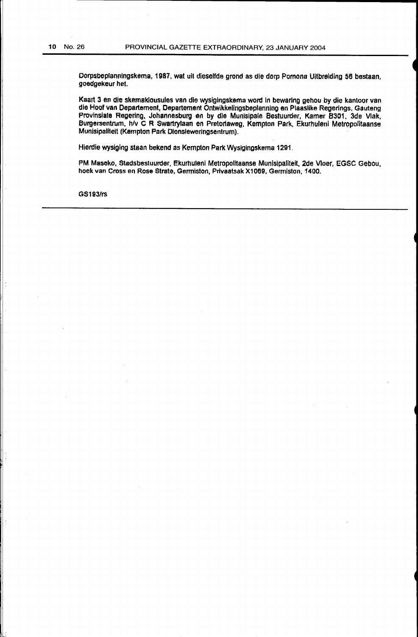Dorpsbeplanningskema, 1987, wat uit dieselfde grond as die dorp Pomona Uitbreiding 56 bestaan, goedgekeur het.

Kaart 3 en die skemaklousules van die wysiglngskema word In bewarlng gehou by die kantoor van die Hoof van Departement, Oepartement Ontwikkelingsbeplanning en Plaaslike Regerings. Gauteng Provinsiate Regering, Johannesburg en by dle Munisipale Bestuurder, Kamer 8301. 3de Vlak, Burgersentruun, h/v C R Swartrylaan en Pretoriaweg, Kempton Park, Ekurhuleni Metropolitaanse Munisipaliteit (Kempton Park Oiensleweringsentrum).

Hierdie wysiging staan bekend as Kempton Park Wysigingskema 1291.

PM Maseko, Stadsbestuurder, Ekumuleni Metropolitaanse Munisipaliteit, 2de Vloer, EGSC Gebou, hoek van Cross en Rose Strate, Germiston, Privaatsak X1069, Germiston, 1400.

G\$193/rs

'. I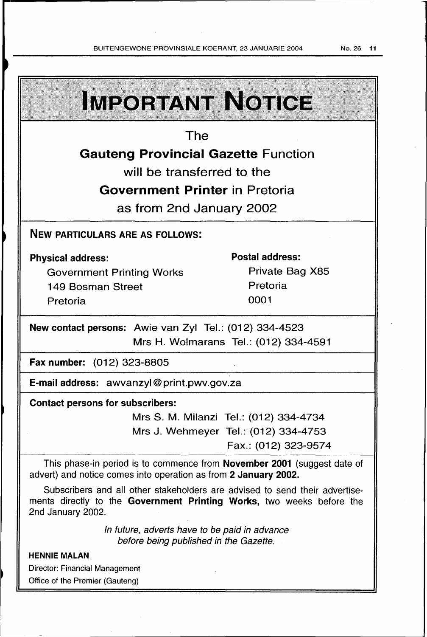# **IMPORTANT NOTICE** The Gauteng Provincial Gazette Function will be transferred to the Government Printer in Pretoria as from 2nd January 2002 NEW PARTICULARS ARE AS FOLLOWS: Postal address: Physical address: Private Bag X85 Government Printing Works Pretoria 149 Bosman Street Pretoria 0001 New contact persons: Awie van Zyl Tel.: (012) 334-4523 Mrs H. Wolmarans Tel.: (012) 334-4591 Fax number: (012) 323-8805 E-mail address: awvanzyl@ print.pwv.gov.za Contact persons for subscribers: Mrs S. M. Milanzi Tel.: (012) 334-4734 Mrs J. Wehmeyer Tel.: (012) 334-4753 Fax.: (012) 323-9574 This phase-in period is to commence from November 2001 (suggest date of advert) and notice comes into operation as from 2 January 2002. Subscribers and all other stakeholders are advised to send their advertisements directly to the Government Printing Works, two weeks before the 2nd January 2002. In future, adverts have to be paid in advance before being published in the Gazette. HENNIE MALAN Director: Financial Management Office of the Premier (Gauteng)